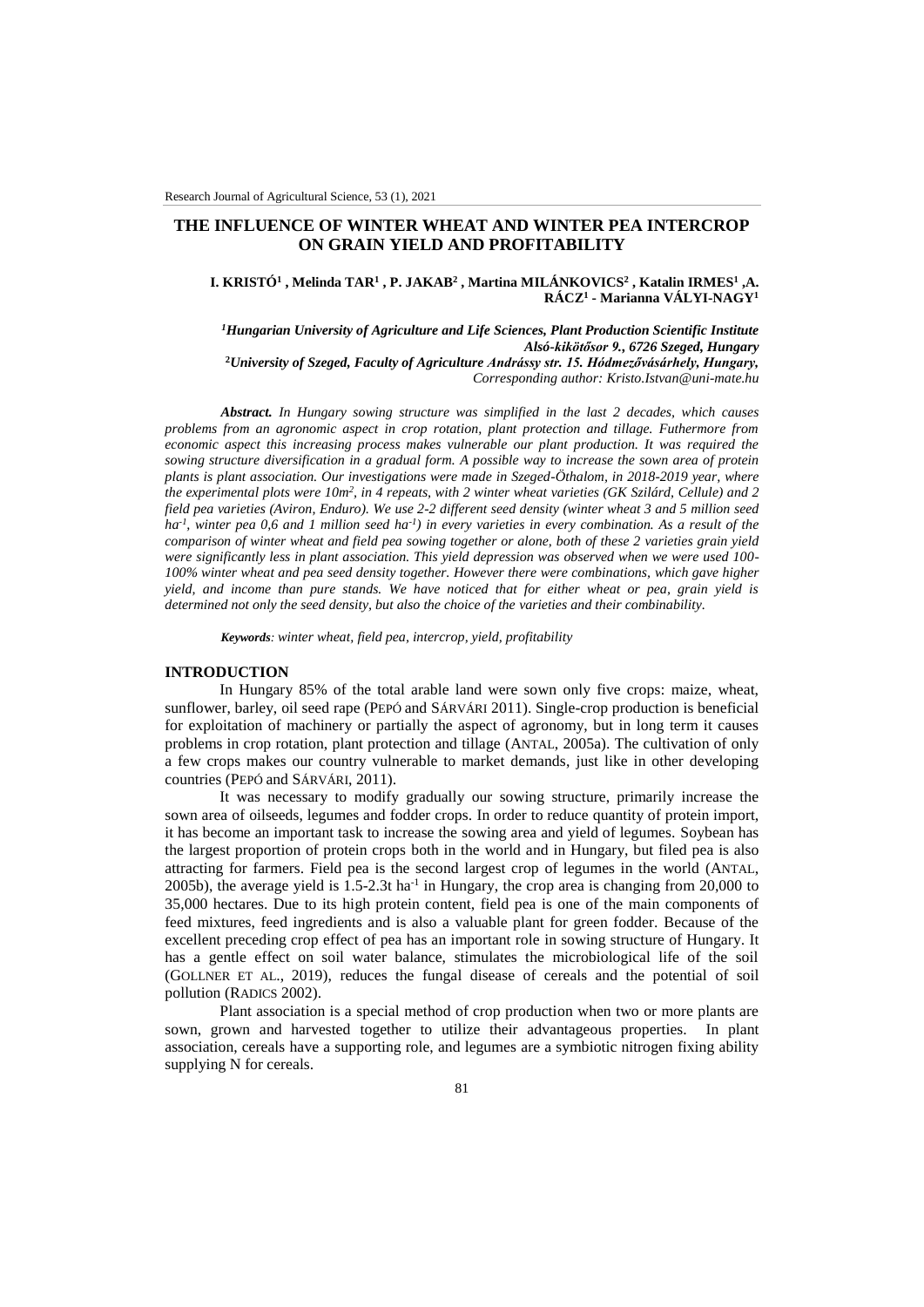# **THE INFLUENCE OF WINTER WHEAT AND WINTER PEA INTERCROP ON GRAIN YIELD AND PROFITABILITY**

**I. KRISTÓ<sup>1</sup> , Melinda TAR<sup>1</sup> , P. JAKAB<sup>2</sup> , Martina MILÁNKOVICS<sup>2</sup> , Katalin IRMES<sup>1</sup> ,A. RÁCZ<sup>1</sup> - Marianna VÁLYI-NAGY<sup>1</sup>**

*<sup>1</sup>Hungarian University of Agriculture and Life Sciences, Plant Production Scientific Institute Alsó-kikötősor 9., 6726 Szeged, Hungary* **<sup>2</sup>***University of Szeged, Faculty of Agriculture Andrássy str. 15. Hódmezővásárhely, Hungary, Corresponding author: Kristo.Istvan@uni-mate.hu*

*Abstract. In Hungary sowing structure was simplified in the last 2 decades, which causes problems from an agronomic aspect in crop rotation, plant protection and tillage. Futhermore from economic aspect this increasing process makes vulnerable our plant production. It was required the sowing structure diversification in a gradual form. A possible way to increase the sown area of protein plants is plant association. Our investigations were made in Szeged-Öthalom, in 2018-2019 year, where the experimental plots were 10m<sup>2</sup>, in 4 repeats, with 2 winter wheat varieties (GK Szilárd, Cellule) and 2 field pea varieties (Aviron, Enduro). We use 2-2 different seed density (winter wheat 3 and 5 million seed ha-1 , winter pea 0,6 and 1 million seed ha-1 ) in every varieties in every combination. As a result of the comparison of winter wheat and field pea sowing together or alone, both of these 2 varieties grain yield were significantly less in plant association. This yield depression was observed when we were used 100- 100% winter wheat and pea seed density together. However there were combinations, which gave higher yield, and income than pure stands. We have noticed that for either wheat or pea, grain yield is determined not only the seed density, but also the choice of the varieties and their combinability.*

*Keywords: winter wheat, field pea, intercrop, yield, profitability*

### **INTRODUCTION**

In Hungary 85% of the total arable land were sown only five crops: maize, wheat, sunflower, barley, oil seed rape (PEPÓ and SÁRVÁRI 2011). Single-crop production is beneficial for exploitation of machinery or partially the aspect of agronomy, but in long term it causes problems in crop rotation, plant protection and tillage (ANTAL, 2005a). The cultivation of only a few crops makes our country vulnerable to market demands, just like in other developing countries (PEPÓ and SÁRVÁRI, 2011).

It was necessary to modify gradually our sowing structure, primarily increase the sown area of oilseeds, legumes and fodder crops. In order to reduce quantity of protein import, it has become an important task to increase the sowing area and yield of legumes. Soybean has the largest proportion of protein crops both in the world and in Hungary, but filed pea is also attracting for farmers. Field pea is the second largest crop of legumes in the world (ANTAL, 2005b), the average yield is  $1.5$ -2.3t ha<sup>-1</sup> in Hungary, the crop area is changing from 20,000 to 35,000 hectares. Due to its high protein content, field pea is one of the main components of feed mixtures, feed ingredients and is also a valuable plant for green fodder. Because of the excellent preceding crop effect of pea has an important role in sowing structure of Hungary. It has a gentle effect on soil water balance, stimulates the microbiological life of the soil (GOLLNER ET AL., 2019), reduces the fungal disease of cereals and the potential of soil pollution (RADICS 2002).

Plant association is a special method of crop production when two or more plants are sown, grown and harvested together to utilize their advantageous properties. In plant association, cereals have a supporting role, and legumes are a symbiotic nitrogen fixing ability supplying N for cereals.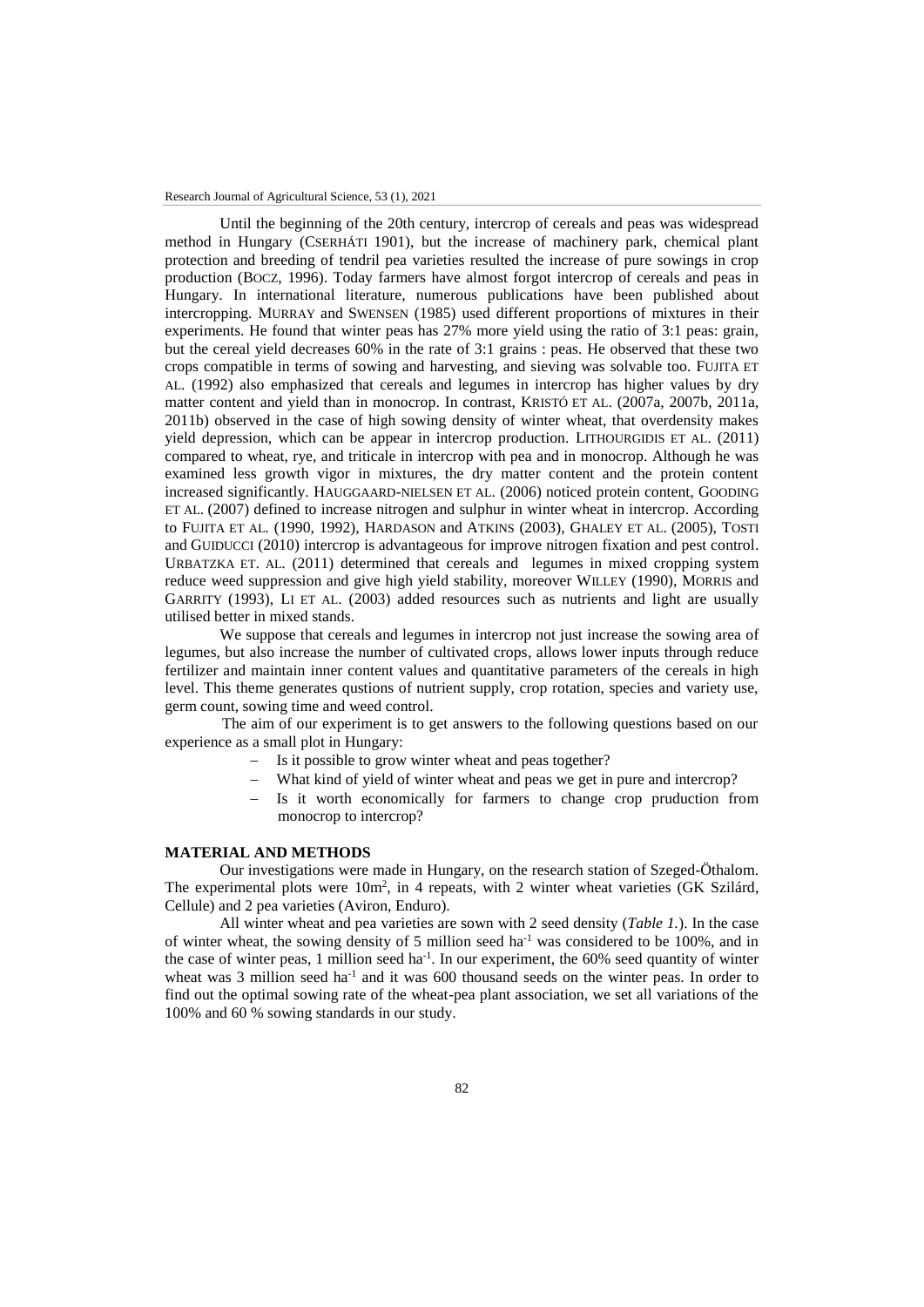Until the beginning of the 20th century, intercrop of cereals and peas was widespread method in Hungary (CSERHÁTI 1901), but the increase of machinery park, chemical plant protection and breeding of tendril pea varieties resulted the increase of pure sowings in crop production (BOCZ, 1996). Today farmers have almost forgot intercrop of cereals and peas in Hungary. In international literature, numerous publications have been published about intercropping. MURRAY and SWENSEN (1985) used different proportions of mixtures in their experiments. He found that winter peas has 27% more yield using the ratio of 3:1 peas: grain, but the cereal yield decreases 60% in the rate of 3:1 grains : peas. He observed that these two crops compatible in terms of sowing and harvesting, and sieving was solvable too. FUJITA ET AL. (1992) also emphasized that cereals and legumes in intercrop has higher values by dry matter content and yield than in monocrop. In contrast, KRISTÓ ET AL. (2007a, 2007b, 2011a, 2011b) observed in the case of high sowing density of winter wheat, that overdensity makes yield depression, which can be appear in intercrop production. LITHOURGIDIS ET AL. (2011) compared to wheat, rye, and triticale in intercrop with pea and in monocrop. Although he was examined less growth vigor in mixtures, the dry matter content and the protein content increased significantly. HAUGGAARD-NIELSEN ET AL. (2006) noticed protein content, GOODING ET AL. (2007) defined to increase nitrogen and sulphur in winter wheat in intercrop. According to FUJITA ET AL. (1990, 1992), HARDASON and ATKINS (2003), GHALEY ET AL. (2005), TOSTI and GUIDUCCI (2010) intercrop is advantageous for improve nitrogen fixation and pest control. URBATZKA ET. AL. (2011) determined that cereals and legumes in mixed cropping system reduce weed suppression and give high yield stability, moreover WILLEY (1990), MORRIS and GARRITY (1993), LI ET AL. (2003) added resources such as nutrients and light are usually utilised better in mixed stands.

We suppose that cereals and legumes in intercrop not just increase the sowing area of legumes, but also increase the number of cultivated crops, allows lower inputs through reduce fertilizer and maintain inner content values and quantitative parameters of the cereals in high level. This theme generates qustions of nutrient supply, crop rotation, species and variety use, germ count, sowing time and weed control.

The aim of our experiment is to get answers to the following questions based on our experience as a small plot in Hungary:

- Is it possible to grow winter wheat and peas together?
- What kind of yield of winter wheat and peas we get in pure and intercrop?
- Is it worth economically for farmers to change crop pruduction from monocrop to intercrop?

## **MATERIAL AND METHODS**

Our investigations were made in Hungary, on the research station of Szeged-Öthalom. The experimental plots were 10m<sup>2</sup>, in 4 repeats, with 2 winter wheat varieties (GK Szilárd, Cellule) and 2 pea varieties (Aviron, Enduro).

All winter wheat and pea varieties are sown with 2 seed density (*Table 1.*). In the case of winter wheat, the sowing density of 5 million seed ha<sup>-1</sup> was considered to be 100%, and in the case of winter peas, 1 million seed ha<sup>-1</sup>. In our experiment, the 60% seed quantity of winter wheat was  $3$  million seed ha<sup>-1</sup> and it was 600 thousand seeds on the winter peas. In order to find out the optimal sowing rate of the wheat-pea plant association, we set all variations of the 100% and 60 % sowing standards in our study.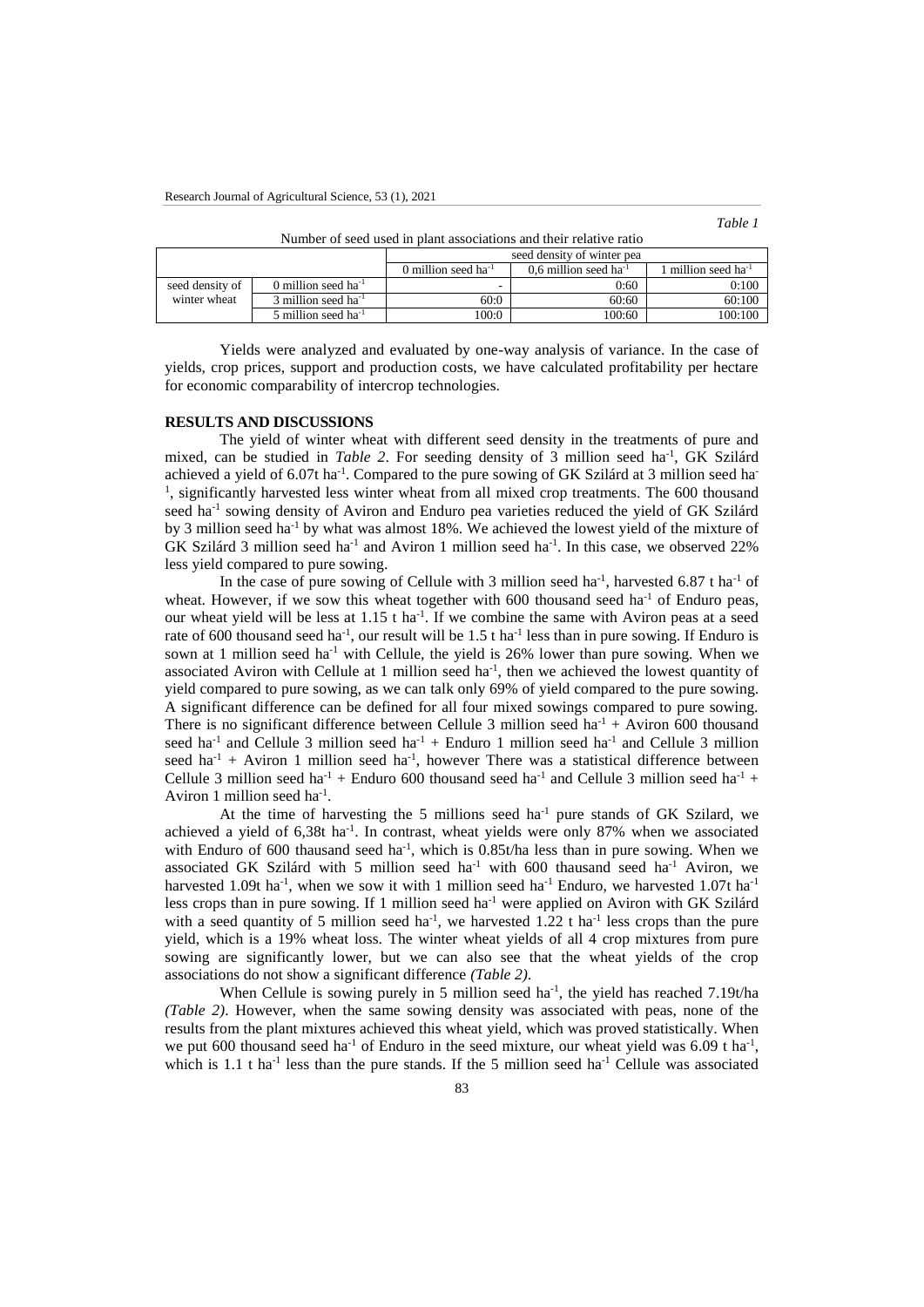for economic comparability of intercrop technologies.

| able |  |
|------|--|
|      |  |

| Tumbu of secu ascu in biant associations and their felative fatto |                                   |                            |                                     |                          |  |  |  |
|-------------------------------------------------------------------|-----------------------------------|----------------------------|-------------------------------------|--------------------------|--|--|--|
|                                                                   |                                   | seed density of winter pea |                                     |                          |  |  |  |
|                                                                   |                                   | 0 million seed $ha^{-1}$   | $0.6$ million seed ha <sup>-1</sup> | 1 million seed $ha^{-1}$ |  |  |  |
| seed density of                                                   | 0 million seed $ha^{-1}$          | -                          | 0:60                                | 0:100                    |  |  |  |
| winter wheat                                                      | $3$ million seed ha <sup>-1</sup> | 60:0                       | 60:60                               | 60:100                   |  |  |  |
|                                                                   | 5 million seed $ha^{-1}$          | 100:0                      | 100:60                              | 100:100                  |  |  |  |

Number of seed used in plant associations and their relative ratio

Yields were analyzed and evaluated by one-way analysis of variance. In the case of yields, crop prices, support and production costs, we have calculated profitability per hectare

### **RESULTS AND DISCUSSIONS**

The yield of winter wheat with different seed density in the treatments of pure and mixed, can be studied in *Table 2*. For seeding density of 3 million seed ha<sup>-1</sup>, GK Szilárd achieved a yield of 6.07t ha<sup>-1</sup>. Compared to the pure sowing of GK Szilárd at 3 million seed ha<sup>-</sup> <sup>1</sup>, significantly harvested less winter wheat from all mixed crop treatments. The 600 thousand seed ha<sup>-1</sup> sowing density of Aviron and Enduro pea varieties reduced the yield of GK Szilárd by 3 million seed ha-1 by what was almost 18%. We achieved the lowest yield of the mixture of GK Szilárd 3 million seed ha<sup>-1</sup> and Aviron 1 million seed ha<sup>-1</sup>. In this case, we observed 22% less yield compared to pure sowing.

In the case of pure sowing of Cellule with 3 million seed ha<sup>-1</sup>, harvested 6.87 t ha<sup>-1</sup> of wheat. However, if we sow this wheat together with 600 thousand seed ha<sup>-1</sup> of Enduro peas, our wheat yield will be less at  $1.15$  t ha<sup>-1</sup>. If we combine the same with Aviron peas at a seed rate of 600 thousand seed ha<sup>-1</sup>, our result will be 1.5 t ha<sup>-1</sup> less than in pure sowing. If Enduro is sown at 1 million seed ha<sup>-1</sup> with Cellule, the yield is 26% lower than pure sowing. When we associated Aviron with Cellule at 1 million seed  $ha^{-1}$ , then we achieved the lowest quantity of yield compared to pure sowing, as we can talk only 69% of yield compared to the pure sowing. A significant difference can be defined for all four mixed sowings compared to pure sowing. There is no significant difference between Cellule 3 million seed ha<sup>-1</sup> + Aviron 600 thousand seed ha<sup>-1</sup> and Cellule 3 million seed ha<sup>-1</sup> + Enduro 1 million seed ha<sup>-1</sup> and Cellule 3 million seed  $ha^{-1}$  + Aviron 1 million seed  $ha^{-1}$ , however There was a statistical difference between Cellule 3 million seed ha<sup>-1</sup> + Enduro 600 thousand seed ha<sup>-1</sup> and Cellule 3 million seed ha<sup>-1</sup> + Aviron 1 million seed ha<sup>-1</sup>.

At the time of harvesting the 5 millions seed ha<sup>-1</sup> pure stands of GK Szilard, we achieved a yield of  $6,38t$  ha<sup>-1</sup>. In contrast, wheat yields were only 87% when we associated with Enduro of 600 thausand seed ha<sup>-1</sup>, which is  $0.85t/ha$  less than in pure sowing. When we associated GK Szilárd with 5 million seed ha<sup>-1</sup> with 600 thausand seed ha<sup>-1</sup> Aviron, we harvested 1.09t ha<sup>-1</sup>, when we sow it with 1 million seed ha<sup>-1</sup> Enduro, we harvested 1.07t ha<sup>-1</sup> less crops than in pure sowing. If 1 million seed ha-1 were applied on Aviron with GK Szilárd with a seed quantity of 5 million seed ha<sup>-1</sup>, we harvested 1.22 t ha<sup>-1</sup> less crops than the pure yield, which is a 19% wheat loss. The winter wheat yields of all 4 crop mixtures from pure sowing are significantly lower, but we can also see that the wheat yields of the crop associations do not show a significant difference *(Table 2)*.

When Cellule is sowing purely in 5 million seed ha<sup>-1</sup>, the yield has reached  $7.19t/ha$ *(Table 2)*. However, when the same sowing density was associated with peas, none of the results from the plant mixtures achieved this wheat yield, which was proved statistically. When we put 600 thousand seed ha<sup>-1</sup> of Enduro in the seed mixture, our wheat yield was  $6.09$  t ha<sup>-1</sup>, which is 1.1 t ha<sup>-1</sup> less than the pure stands. If the 5 million seed ha<sup>-1</sup> Cellule was associated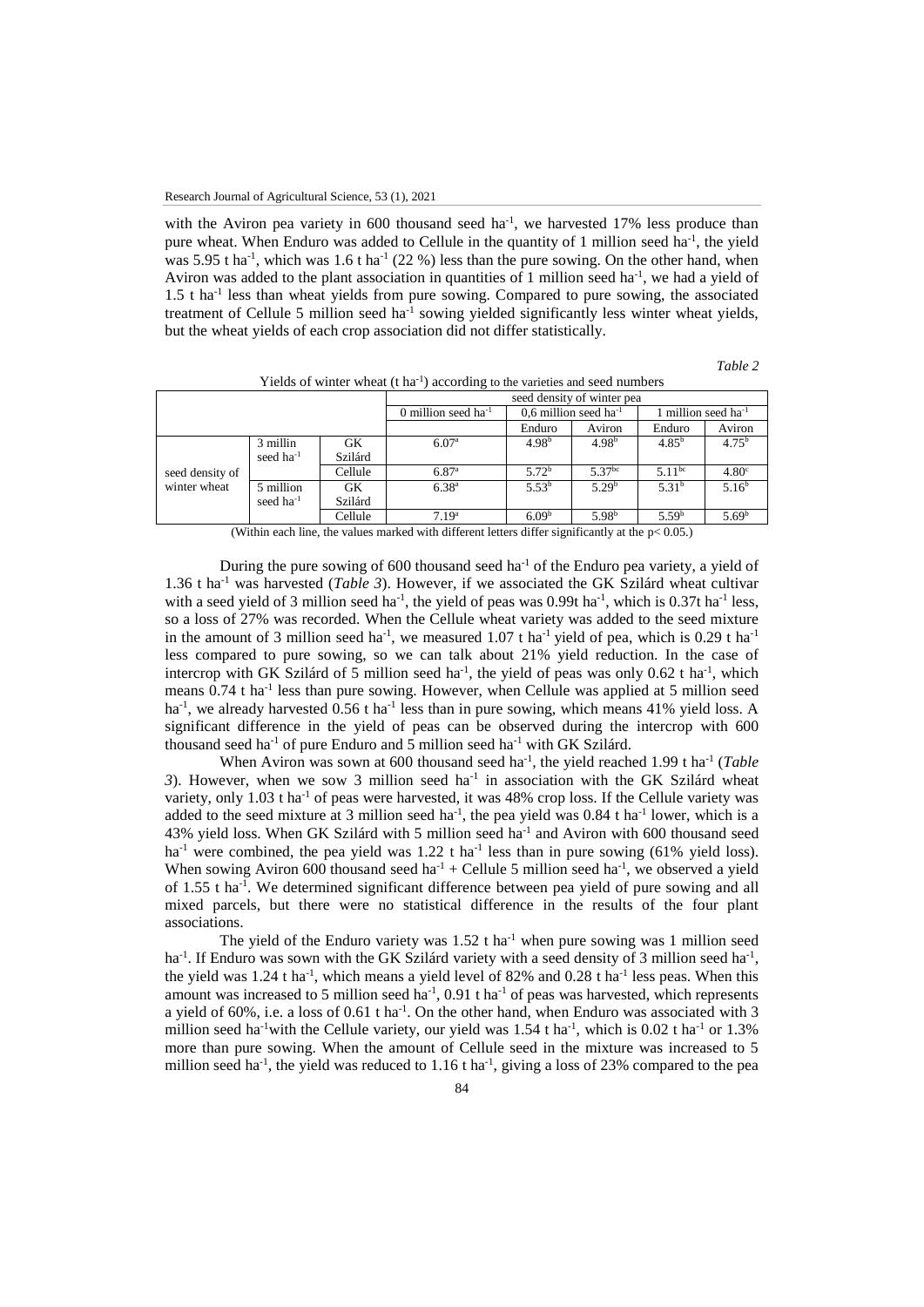with the Aviron pea variety in 600 thousand seed  $ha^{-1}$ , we harvested 17% less produce than pure wheat. When Enduro was added to Cellule in the quantity of 1 million seed ha<sup>-1</sup>, the yield was 5.95 t ha<sup>-1</sup>, which was 1.6 t ha<sup>-1</sup> (22 %) less than the pure sowing. On the other hand, when Aviron was added to the plant association in quantities of 1 million seed ha<sup>-1</sup>, we had a yield of 1.5 t ha<sup>-1</sup> less than wheat yields from pure sowing. Compared to pure sowing, the associated treatment of Cellule 5 million seed ha<sup>-1</sup> sowing yielded significantly less winter wheat yields, but the wheat yields of each crop association did not differ statistically.

*Table 2*

|                                 |                |                          | seed density of winter pea          |                   |                                 |                    |                   |
|---------------------------------|----------------|--------------------------|-------------------------------------|-------------------|---------------------------------|--------------------|-------------------|
|                                 |                | 0 million seed $ha^{-1}$ | $0.6$ million seed ha <sup>-1</sup> |                   | 1 million seed ha <sup>-1</sup> |                    |                   |
|                                 |                |                          |                                     | Enduro            | Aviron                          | Enduro             | Aviron            |
| seed density of<br>winter wheat | 3 millin       | GK                       | 6.07 <sup>a</sup>                   | 4.98 <sup>b</sup> | 4.98 <sup>b</sup>               | $4.85^{b}$         | $4.75^{\rm b}$    |
|                                 | seed $ha^{-1}$ | Szilárd                  |                                     |                   |                                 |                    |                   |
|                                 |                | Cellule                  | $6.87^{a}$                          | 5.72 <sup>b</sup> | $5.37^{bc}$                     | 5.11 <sup>bc</sup> | 4.80 <sup>c</sup> |
|                                 | 5 million      | GK                       | $6.38^{a}$                          | $5.53^{b}$        | 5.29 <sup>b</sup>               | 5.31 <sup>b</sup>  | 5.16 <sup>b</sup> |
|                                 | seed $ha^{-1}$ | Szilárd                  |                                     |                   |                                 |                    |                   |
|                                 |                | Cellule                  | 7.19 <sup>a</sup>                   | 6.09 <sup>b</sup> | 5.98 <sup>b</sup>               | 5.59 <sup>b</sup>  | 5.69 <sup>b</sup> |

Yields of winter wheat (t ha<sup>-1</sup>) according to the varieties and seed numbers

(Within each line, the values marked with different letters differ significantly at the  $p< 0.05$ .)

During the pure sowing of  $600$  thousand seed ha<sup>-1</sup> of the Enduro pea variety, a yield of 1.36 t ha-1 was harvested (*Table 3*). However, if we associated the GK Szilárd wheat cultivar with a seed yield of 3 million seed ha<sup>-1</sup>, the yield of peas was 0.99t ha<sup>-1</sup>, which is 0.37t ha<sup>-1</sup> less, so a loss of 27% was recorded. When the Cellule wheat variety was added to the seed mixture in the amount of 3 million seed ha<sup>-1</sup>, we measured 1.07 t ha<sup>-1</sup> yield of pea, which is 0.29 t ha<sup>-1</sup> less compared to pure sowing, so we can talk about 21% yield reduction. In the case of intercrop with GK Szilárd of 5 million seed ha<sup>-1</sup>, the yield of peas was only 0.62 t ha<sup>-1</sup>, which means 0.74 t ha<sup>-1</sup> less than pure sowing. However, when Cellule was applied at 5 million seed ha<sup>-1</sup>, we already harvested 0.56 t ha<sup>-1</sup> less than in pure sowing, which means 41% yield loss. A significant difference in the yield of peas can be observed during the intercrop with 600 thousand seed ha<sup>-1</sup> of pure Enduro and 5 million seed ha<sup>-1</sup> with GK Szilárd.

When Aviron was sown at 600 thousand seed ha<sup>-1</sup>, the yield reached 1.99 t ha<sup>-1</sup> (*Table* 3). However, when we sow 3 million seed  $ha^{-1}$  in association with the GK Szilárd wheat variety, only  $1.03$  t ha<sup>-1</sup> of peas were harvested, it was  $48\%$  crop loss. If the Cellule variety was added to the seed mixture at 3 million seed ha<sup>-1</sup>, the pea yield was  $0.84$  t ha<sup>-1</sup> lower, which is a 43% yield loss. When GK Szilárd with 5 million seed ha<sup>-1</sup> and Aviron with 600 thousand seed ha<sup>-1</sup> were combined, the pea yield was  $1.22$  t ha<sup>-1</sup> less than in pure sowing (61% yield loss). When sowing Aviron 600 thousand seed ha<sup>-1</sup> + Cellule 5 million seed ha<sup>-1</sup>, we observed a yield of 1.55 t ha<sup>-1</sup>. We determined significant difference between pea yield of pure sowing and all mixed parcels, but there were no statistical difference in the results of the four plant associations.

The yield of the Enduro variety was  $1.52$  t ha<sup>-1</sup> when pure sowing was 1 million seed ha<sup>-1</sup>. If Enduro was sown with the GK Szilárd variety with a seed density of 3 million seed ha<sup>-1</sup>, the yield was  $1.24$  t ha<sup>-1</sup>, which means a yield level of 82% and 0.28 t ha<sup>-1</sup> less peas. When this amount was increased to 5 million seed ha<sup>-1</sup>, 0.91 t ha<sup>-1</sup> of peas was harvested, which represents a yield of  $60\%$ , i.e. a loss of  $0.61$  t ha<sup>-1</sup>. On the other hand, when Enduro was associated with 3 million seed ha<sup>-1</sup>with the Cellule variety, our yield was  $1.54$  t ha<sup>-1</sup>, which is 0.02 t ha<sup>-1</sup> or  $1.3\%$ more than pure sowing. When the amount of Cellule seed in the mixture was increased to 5 million seed ha<sup>-1</sup>, the yield was reduced to 1.16 t ha<sup>-1</sup>, giving a loss of 23% compared to the pea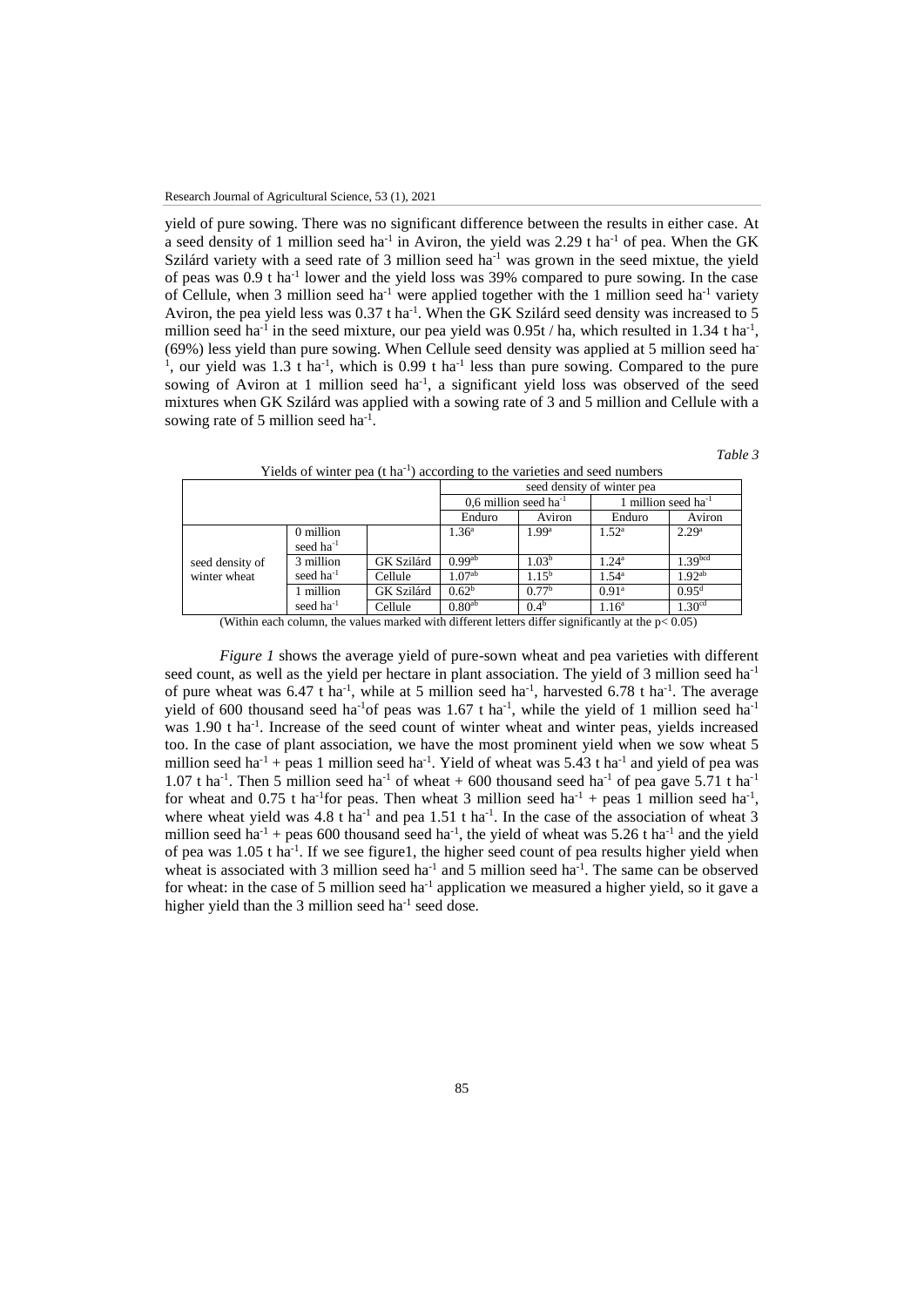yield of pure sowing. There was no significant difference between the results in either case. At a seed density of 1 million seed ha<sup>-1</sup> in Aviron, the yield was 2.29 t ha<sup>-1</sup> of pea. When the GK Szilárd variety with a seed rate of 3 million seed ha<sup>-1</sup> was grown in the seed mixtue, the yield of peas was 0.9 t ha<sup>-1</sup> lower and the yield loss was 39% compared to pure sowing. In the case of Cellule, when 3 million seed ha<sup>-1</sup> were applied together with the 1 million seed ha<sup>-1</sup> variety Aviron, the pea yield less was  $0.37$  t ha<sup>-1</sup>. When the GK Szilárd seed density was increased to 5 million seed ha<sup>-1</sup> in the seed mixture, our pea yield was  $0.95t / ha$ , which resulted in 1.34 t ha<sup>-1</sup>, (69%) less yield than pure sowing. When Cellule seed density was applied at 5 million seed ha-<sup>1</sup>, our yield was 1.3 t ha<sup>-1</sup>, which is 0.99 t ha<sup>-1</sup> less than pure sowing. Compared to the pure sowing of Aviron at 1 million seed  $ha^{-1}$ , a significant yield loss was observed of the seed mixtures when GK Szilárd was applied with a sowing rate of 3 and 5 million and Cellule with a sowing rate of 5 million seed ha<sup>-1</sup>.

*Table 3*

|                                                                                                                                                                                          | There's of written pea (Cha ) according to the varieties and seed hamocro- |            |                                     |                   |                                 |                     |
|------------------------------------------------------------------------------------------------------------------------------------------------------------------------------------------|----------------------------------------------------------------------------|------------|-------------------------------------|-------------------|---------------------------------|---------------------|
|                                                                                                                                                                                          | seed density of winter pea                                                 |            |                                     |                   |                                 |                     |
|                                                                                                                                                                                          |                                                                            |            | $0.6$ million seed ha <sup>-1</sup> |                   | 1 million seed ha <sup>-1</sup> |                     |
|                                                                                                                                                                                          |                                                                            |            | Enduro                              | Aviron            | Enduro                          | Aviron              |
|                                                                                                                                                                                          | 0 million                                                                  |            | $1.36^{\circ}$                      | 1.99 <sup>a</sup> | $1.52^{\rm a}$                  | 2.29 <sup>a</sup>   |
| seed density of<br>winter wheat                                                                                                                                                          | seed $ha^{-1}$                                                             |            |                                     |                   |                                 |                     |
|                                                                                                                                                                                          | 3 million                                                                  | GK Szilárd | 0.99 <sup>ab</sup>                  | 1.03 <sup>b</sup> | $1.24^a$                        | 1.39 <sup>bcd</sup> |
|                                                                                                                                                                                          | seed $ha^{-1}$                                                             | Cellule    | $1.07^{ab}$                         | $1.15^{\rm b}$    | $1.54^{\rm a}$                  | $1.92^{ab}$         |
|                                                                                                                                                                                          | 1 million                                                                  | GK Szilárd | 0.62 <sup>b</sup>                   | 0.77 <sup>b</sup> | 0.91 <sup>a</sup>               | $0.95^{\rm d}$      |
|                                                                                                                                                                                          | seed ha <sup>-1</sup>                                                      | Cellule    | 0.80 <sup>ab</sup>                  | 0.4 <sup>b</sup>  | 1.16 <sup>a</sup>               | 1.30 <sup>cd</sup>  |
| $\cdots$<br>$\cdot$ $\cdot$ $\cdot$ $\cdot$ $\cdot$ $\cdot$ $\cdot$<br>$\cdot$ $\sim$<br>$-1$<br>$\sim$ $\sim$ $\sim$<br>$\mathbf{A}$ and $\mathbf{A}$ and $\mathbf{A}$ and $\mathbf{A}$ |                                                                            |            |                                     |                   |                                 |                     |

Yields of winter pea  $(t \, ha^{-1})$  according to the varieties and seed numbers

(Within each column, the values marked with different letters differ significantly at the  $p < 0.05$ )

*Figure 1* shows the average yield of pure-sown wheat and pea varieties with different seed count, as well as the yield per hectare in plant association. The yield of 3 million seed ha<sup>-1</sup> of pure wheat was  $6.47$  t ha<sup>-1</sup>, while at 5 million seed ha<sup>-1</sup>, harvested  $6.78$  t ha<sup>-1</sup>. The average yield of 600 thousand seed ha<sup>-1</sup> of peas was 1.67 t ha<sup>-1</sup>, while the yield of 1 million seed ha<sup>-1</sup> was 1.90 t ha<sup>-1</sup>. Increase of the seed count of winter wheat and winter peas, yields increased too. In the case of plant association, we have the most prominent yield when we sow wheat 5 million seed ha<sup>-1</sup> + peas 1 million seed ha<sup>-1</sup>. Yield of wheat was 5.43 t ha<sup>-1</sup> and yield of pea was 1.07 t ha<sup>-1</sup>. Then 5 million seed ha<sup>-1</sup> of wheat + 600 thousand seed ha<sup>-1</sup> of pea gave 5.71 t ha<sup>-1</sup> for wheat and 0.75 t ha<sup>-1</sup> for peas. Then wheat 3 million seed ha<sup>-1</sup> + peas 1 million seed ha<sup>-1</sup>, where wheat yield was 4.8 t ha<sup>-1</sup> and pea 1.51 t ha<sup>-1</sup>. In the case of the association of wheat 3 million seed ha<sup>-1</sup> + peas 600 thousand seed ha<sup>-1</sup>, the yield of wheat was 5.26 t ha<sup>-1</sup> and the yield of pea was 1.05 t ha<sup>-1</sup>. If we see figure1, the higher seed count of pea results higher yield when wheat is associated with 3 million seed ha<sup>-1</sup> and 5 million seed ha<sup>-1</sup>. The same can be observed for wheat: in the case of 5 million seed ha<sup>-1</sup> application we measured a higher yield, so it gave a higher yield than the 3 million seed ha<sup>-1</sup> seed dose.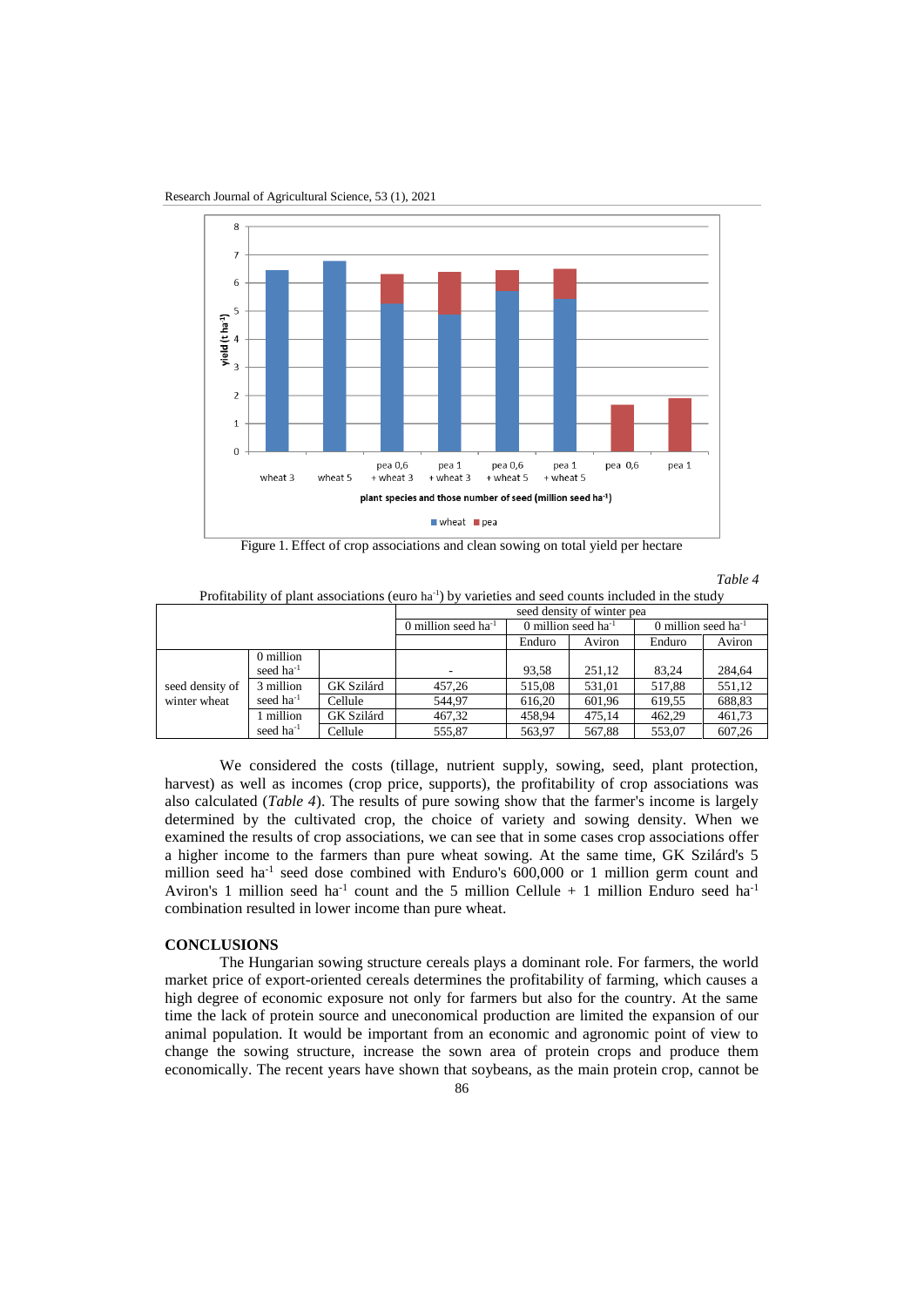

Research Journal of Agricultural Science, 53 (1), 2021

Figure 1. Effect of crop associations and clean sowing on total yield per hectare

*Table 4*

Profitability of plant associations (euro ha<sup>-1</sup>) by varieties and seed counts included in the study

|                                 |                       | seed density of winter pea |                          |        |                                 |        |        |
|---------------------------------|-----------------------|----------------------------|--------------------------|--------|---------------------------------|--------|--------|
|                                 |                       | 0 million seed $ha^{-1}$   | 0 million seed $ha^{-1}$ |        | 0 million seed ha <sup>-1</sup> |        |        |
|                                 |                       |                            |                          | Enduro | Aviron                          | Enduro | Aviron |
|                                 | 0 million             |                            |                          |        |                                 |        |        |
| seed density of<br>winter wheat | seed ha <sup>-1</sup> |                            |                          | 93.58  | 251.12                          | 83.24  | 284,64 |
|                                 | 3 million             | GK Szilárd                 | 457,26                   | 515,08 | 531.01                          | 517,88 | 551,12 |
|                                 | seed $ha^{-1}$        | Cellule                    | 544.97                   | 616.20 | 601.96                          | 619.55 | 688,83 |
|                                 | 1 million             | GK Szilárd                 | 467,32                   | 458.94 | 475.14                          | 462.29 | 461,73 |
|                                 | seed $ha^{-1}$        | Cellule                    | 555.87                   | 563,97 | 567,88                          | 553,07 | 607.26 |

We considered the costs (tillage, nutrient supply, sowing, seed, plant protection, harvest) as well as incomes (crop price, supports), the profitability of crop associations was also calculated (*Table 4*). The results of pure sowing show that the farmer's income is largely determined by the cultivated crop, the choice of variety and sowing density. When we examined the results of crop associations, we can see that in some cases crop associations offer a higher income to the farmers than pure wheat sowing. At the same time, GK Szilárd's 5 million seed ha<sup>-1</sup> seed dose combined with Enduro's 600,000 or 1 million germ count and Aviron's 1 million seed ha<sup>-1</sup> count and the 5 million Cellule  $+$  1 million Enduro seed ha<sup>-1</sup> combination resulted in lower income than pure wheat.

#### **CONCLUSIONS**

The Hungarian sowing structure cereals plays a dominant role. For farmers, the world market price of export-oriented cereals determines the profitability of farming, which causes a high degree of economic exposure not only for farmers but also for the country. At the same time the lack of protein source and uneconomical production are limited the expansion of our animal population. It would be important from an economic and agronomic point of view to change the sowing structure, increase the sown area of protein crops and produce them economically. The recent years have shown that soybeans, as the main protein crop, cannot be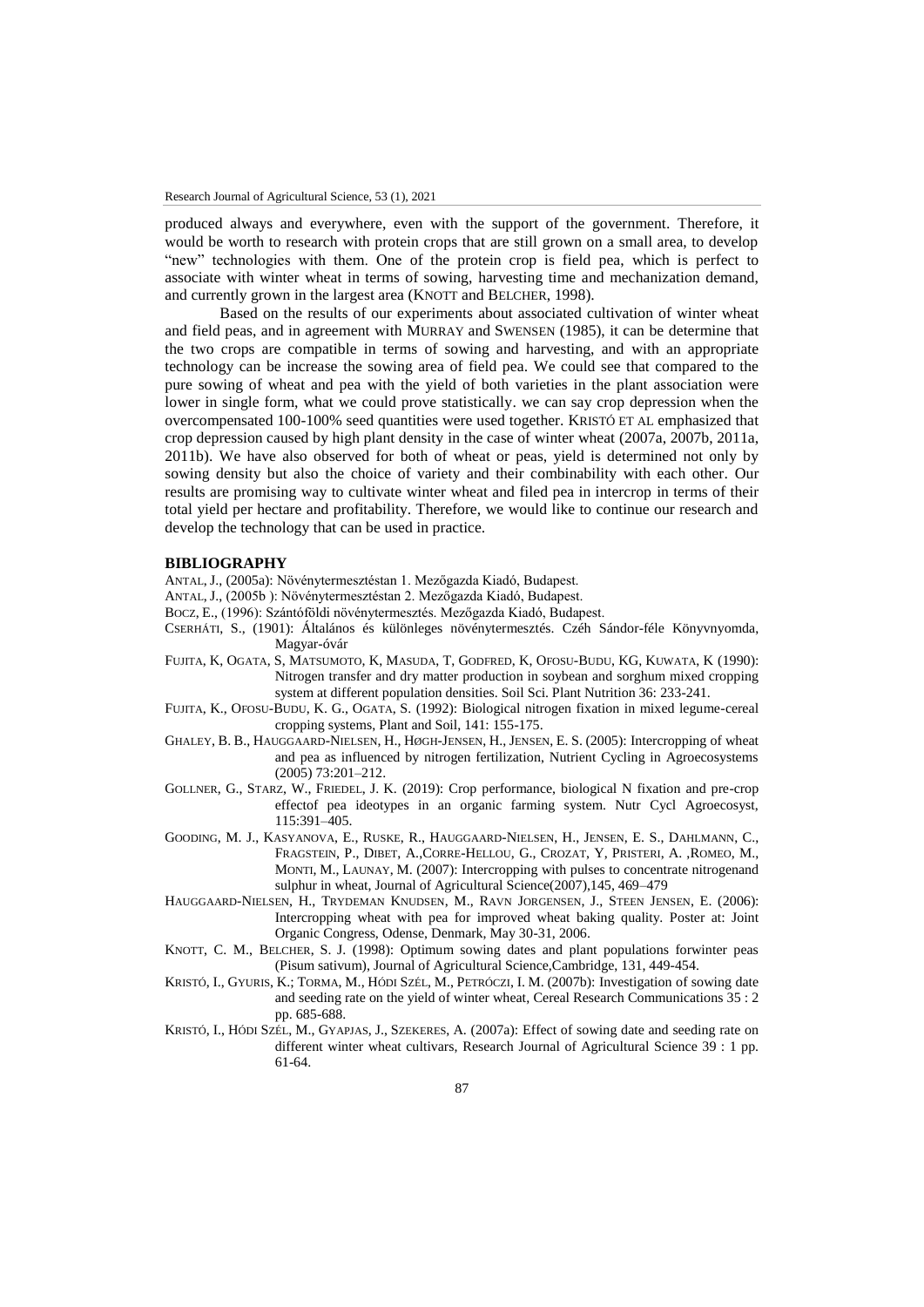produced always and everywhere, even with the support of the government. Therefore, it would be worth to research with protein crops that are still grown on a small area, to develop "new" technologies with them. One of the protein crop is field pea, which is perfect to associate with winter wheat in terms of sowing, harvesting time and mechanization demand, and currently grown in the largest area (KNOTT and BELCHER, 1998).

Based on the results of our experiments about associated cultivation of winter wheat and field peas, and in agreement with MURRAY and SWENSEN (1985), it can be determine that the two crops are compatible in terms of sowing and harvesting, and with an appropriate technology can be increase the sowing area of field pea. We could see that compared to the pure sowing of wheat and pea with the yield of both varieties in the plant association were lower in single form, what we could prove statistically. we can say crop depression when the overcompensated 100-100% seed quantities were used together. KRISTÓ ET AL emphasized that crop depression caused by high plant density in the case of winter wheat (2007a, 2007b, 2011a, 2011b). We have also observed for both of wheat or peas, yield is determined not only by sowing density but also the choice of variety and their combinability with each other. Our results are promising way to cultivate winter wheat and filed pea in intercrop in terms of their total yield per hectare and profitability. Therefore, we would like to continue our research and develop the technology that can be used in practice.

#### **BIBLIOGRAPHY**

- ANTAL, J., (2005a): Növénytermesztéstan 1. Mezőgazda Kiadó, Budapest.
- ANTAL, J., (2005b ): Növénytermesztéstan 2. Mezőgazda Kiadó, Budapest.
- BOCZ, E., (1996): Szántóföldi növénytermesztés. Mezőgazda Kiadó, Budapest.
- CSERHÁTI, S., (1901): Általános és különleges növénytermesztés. Czéh Sándor-féle Könyvnyomda, Magyar-óvár
- FUJITA, K, OGATA, S, MATSUMOTO, K, MASUDA, T, GODFRED, K, OFOSU-BUDU, KG, KUWATA, K (1990): Nitrogen transfer and dry matter production in soybean and sorghum mixed cropping system at different population densities. Soil Sci. Plant Nutrition 36: 233-241.
- FUJITA, K., OFOSU-BUDU, K. G., OGATA, S. (1992): Biological nitrogen fixation in mixed legume-cereal cropping systems, Plant and Soil, 141: 155-175.
- GHALEY, B. B., HAUGGAARD-NIELSEN, H., HØGH-JENSEN, H., JENSEN, E. S. (2005): Intercropping of wheat and pea as influenced by nitrogen fertilization, Nutrient Cycling in Agroecosystems (2005) 73:201–212.
- GOLLNER, G., STARZ, W., FRIEDEL, J. K. (2019): Crop performance, biological N fixation and pre-crop effectof pea ideotypes in an organic farming system. Nutr Cycl Agroecosyst, 115:391–405.
- GOODING, M. J., KASYANOVA, E., RUSKE, R., HAUGGAARD-NIELSEN, H., JENSEN, E. S., DAHLMANN, C., FRAGSTEIN, P., DIBET, A.,CORRE-HELLOU, G., CROZAT, Y, PRISTERI, A. ,ROMEO, M., MONTI, M., LAUNAY, M. (2007): Intercropping with pulses to concentrate nitrogenand sulphur in wheat, Journal of Agricultural Science(2007),145, 469–479
- HAUGGAARD-NIELSEN, H., TRYDEMAN KNUDSEN, M., RAVN JORGENSEN, J., STEEN JENSEN, E. (2006): Intercropping wheat with pea for improved wheat baking quality. Poster at: Joint Organic Congress, Odense, Denmark, May 30-31, 2006.
- KNOTT, C. M., BELCHER, S. J. (1998): Optimum sowing dates and plant populations forwinter peas (Pisum sativum), Journal of Agricultural Science,Cambridge, 131, 449-454.
- K[RISTÓ](https://m2.mtmt.hu/api/author/10013604), I., GYURIS, K.; TORMA, M., H[ÓDI](https://m2.mtmt.hu/api/author/10029639) SZÉL, [M.,](https://m2.mtmt.hu/api/author/10029639) P[ETRÓCZI](https://m2.mtmt.hu/api/author/10010884), I. M. (2007b): [Investigation of sowing date](https://m2.mtmt.hu/api/publication/2046314)  [and seeding rate on the yield of winter wheat,](https://m2.mtmt.hu/api/publication/2046314) Cereal Research Communications 35 : 2 pp. 685-688.
- K[RISTÓ](https://m2.mtmt.hu/api/author/10013604), I., H[ÓDI](https://m2.mtmt.hu/api/author/10029639) SZÉL, M., GYAPJAS, J., SZEKERES, A. (2007a): [Effect of sowing date and seeding rate on](https://m2.mtmt.hu/api/publication/3231819)  [different winter wheat cultivars,](https://m2.mtmt.hu/api/publication/3231819) Research Journal of Agricultural Science 39 : 1 pp. 61-64.